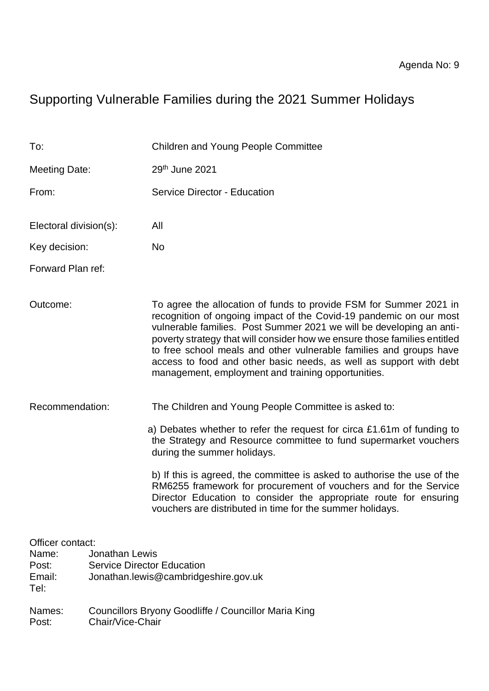# Supporting Vulnerable Families during the 2021 Summer Holidays

| To:                                                  |                                                                          | <b>Children and Young People Committee</b>                                                                                                                                                                                                                                                                                                                                                                                                                                                      |  |  |  |
|------------------------------------------------------|--------------------------------------------------------------------------|-------------------------------------------------------------------------------------------------------------------------------------------------------------------------------------------------------------------------------------------------------------------------------------------------------------------------------------------------------------------------------------------------------------------------------------------------------------------------------------------------|--|--|--|
| Meeting Date:                                        |                                                                          | 29th June 2021                                                                                                                                                                                                                                                                                                                                                                                                                                                                                  |  |  |  |
| From:                                                |                                                                          | <b>Service Director - Education</b>                                                                                                                                                                                                                                                                                                                                                                                                                                                             |  |  |  |
| Electoral division(s):                               |                                                                          | All<br>No                                                                                                                                                                                                                                                                                                                                                                                                                                                                                       |  |  |  |
| Key decision:                                        |                                                                          |                                                                                                                                                                                                                                                                                                                                                                                                                                                                                                 |  |  |  |
| Forward Plan ref:                                    |                                                                          |                                                                                                                                                                                                                                                                                                                                                                                                                                                                                                 |  |  |  |
| Outcome:                                             |                                                                          | To agree the allocation of funds to provide FSM for Summer 2021 in<br>recognition of ongoing impact of the Covid-19 pandemic on our most<br>vulnerable families. Post Summer 2021 we will be developing an anti-<br>poverty strategy that will consider how we ensure those families entitled<br>to free school meals and other vulnerable families and groups have<br>access to food and other basic needs, as well as support with debt<br>management, employment and training opportunities. |  |  |  |
| Recommendation:                                      |                                                                          | The Children and Young People Committee is asked to:                                                                                                                                                                                                                                                                                                                                                                                                                                            |  |  |  |
|                                                      |                                                                          | a) Debates whether to refer the request for circa £1.61m of funding to<br>the Strategy and Resource committee to fund supermarket vouchers<br>during the summer holidays.                                                                                                                                                                                                                                                                                                                       |  |  |  |
|                                                      |                                                                          | b) If this is agreed, the committee is asked to authorise the use of the<br>RM6255 framework for procurement of vouchers and for the Service<br>Director Education to consider the appropriate route for ensuring<br>vouchers are distributed in time for the summer holidays.                                                                                                                                                                                                                  |  |  |  |
| Officer contact:<br>Name:<br>Post:<br>Email:<br>Tel: | <b>Jonathan Lewis</b><br><b>Service Director Education</b>               | Jonathan.lewis@cambridgeshire.gov.uk                                                                                                                                                                                                                                                                                                                                                                                                                                                            |  |  |  |
| Names:<br>Post:                                      | Councillors Bryony Goodliffe / Councillor Maria King<br>Chair/Vice-Chair |                                                                                                                                                                                                                                                                                                                                                                                                                                                                                                 |  |  |  |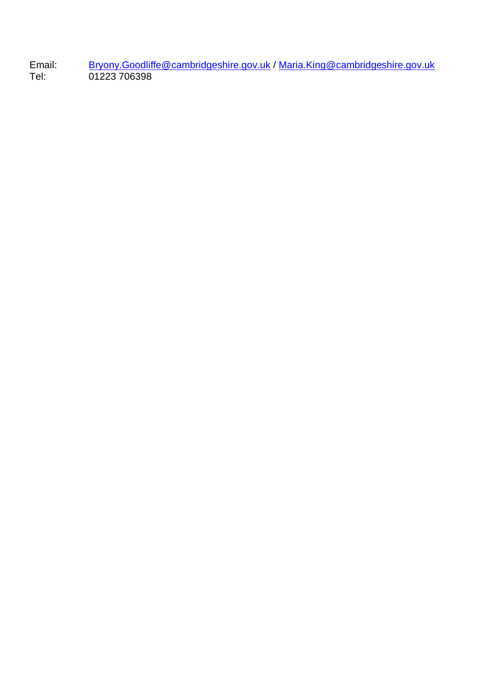Email: [Bryony.Goodliffe@cambridgeshire.gov.uk](mailto:Bryony.Goodliffe@cambridgeshire.gov.uk) / [Maria.King@cambridgeshire.gov.uk](mailto:Maria.King@cambridgeshire.gov.uk) Tel: 01223 706398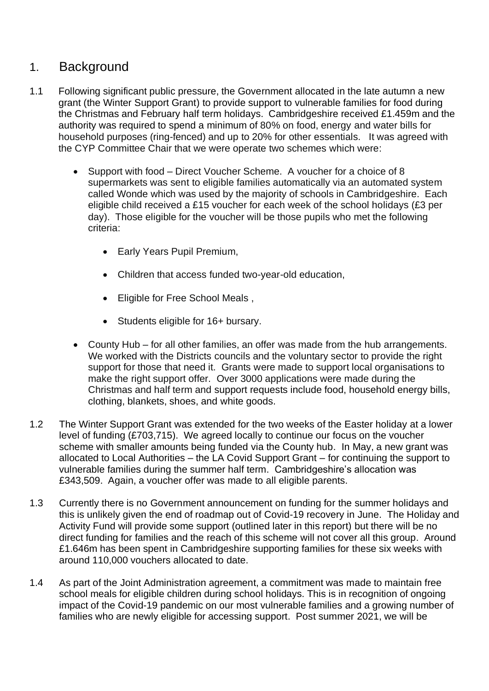# 1. Background

- 1.1 Following significant public pressure, the Government allocated in the late autumn a new grant (the Winter Support Grant) to provide support to vulnerable families for food during the Christmas and February half term holidays. Cambridgeshire received £1.459m and the authority was required to spend a minimum of 80% on food, energy and water bills for household purposes (ring-fenced) and up to 20% for other essentials. It was agreed with the CYP Committee Chair that we were operate two schemes which were:
	- Support with food Direct Voucher Scheme. A voucher for a choice of 8 supermarkets was sent to eligible families automatically via an automated system called Wonde which was used by the majority of schools in Cambridgeshire. Each eligible child received a £15 voucher for each week of the school holidays (£3 per day). Those eligible for the voucher will be those pupils who met the following criteria:
		- Early Years Pupil Premium,
		- Children that access funded two-year-old education,
		- Eligible for Free School Meals ,
		- Students eligible for 16+ bursary.
	- County Hub for all other families, an offer was made from the hub arrangements. We worked with the Districts councils and the voluntary sector to provide the right support for those that need it. Grants were made to support local organisations to make the right support offer. Over 3000 applications were made during the Christmas and half term and support requests include food, household energy bills, clothing, blankets, shoes, and white goods.
- 1.2 The Winter Support Grant was extended for the two weeks of the Easter holiday at a lower level of funding (£703,715). We agreed locally to continue our focus on the voucher scheme with smaller amounts being funded via the County hub. In May, a new grant was allocated to Local Authorities – the LA Covid Support Grant – for continuing the support to vulnerable families during the summer half term. Cambridgeshire's allocation was £343,509. Again, a voucher offer was made to all eligible parents.
- 1.3 Currently there is no Government announcement on funding for the summer holidays and this is unlikely given the end of roadmap out of Covid-19 recovery in June. The Holiday and Activity Fund will provide some support (outlined later in this report) but there will be no direct funding for families and the reach of this scheme will not cover all this group. Around £1.646m has been spent in Cambridgeshire supporting families for these six weeks with around 110,000 vouchers allocated to date.
- 1.4 As part of the Joint Administration agreement, a commitment was made to maintain free school meals for eligible children during school holidays. This is in recognition of ongoing impact of the Covid-19 pandemic on our most vulnerable families and a growing number of families who are newly eligible for accessing support. Post summer 2021, we will be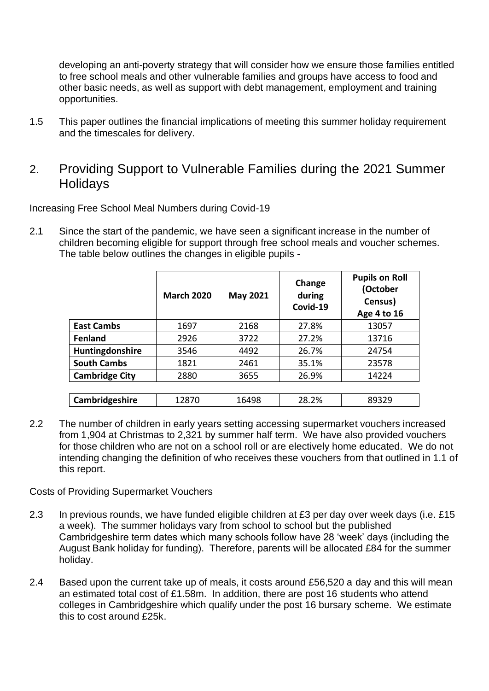developing an anti-poverty strategy that will consider how we ensure those families entitled to free school meals and other vulnerable families and groups have access to food and other basic needs, as well as support with debt management, employment and training opportunities.

- 1.5 This paper outlines the financial implications of meeting this summer holiday requirement and the timescales for delivery.
- 2. Providing Support to Vulnerable Families during the 2021 Summer **Holidays**

Increasing Free School Meal Numbers during Covid-19

2.1 Since the start of the pandemic, we have seen a significant increase in the number of children becoming eligible for support through free school meals and voucher schemes. The table below outlines the changes in eligible pupils -

|                       | <b>March 2020</b> | <b>May 2021</b> | Change<br>during<br>Covid-19 | <b>Pupils on Roll</b><br>(October<br>Census)<br>Age 4 to 16 |
|-----------------------|-------------------|-----------------|------------------------------|-------------------------------------------------------------|
| <b>East Cambs</b>     | 1697              | 2168            | 27.8%                        | 13057                                                       |
| <b>Fenland</b>        | 2926              | 3722            | 27.2%                        | 13716                                                       |
| Huntingdonshire       | 3546              | 4492            | 26.7%                        | 24754                                                       |
| <b>South Cambs</b>    | 1821              | 2461            | 35.1%                        | 23578                                                       |
| <b>Cambridge City</b> | 2880              | 3655            | 26.9%                        | 14224                                                       |
|                       |                   |                 |                              |                                                             |
| Cambridgeshire        | 12870             | 16498           | 28.2%                        | 89329                                                       |

2.2 The number of children in early years setting accessing supermarket vouchers increased from 1,904 at Christmas to 2,321 by summer half term. We have also provided vouchers for those children who are not on a school roll or are electively home educated. We do not intending changing the definition of who receives these vouchers from that outlined in 1.1 of this report.

Costs of Providing Supermarket Vouchers

- 2.3 In previous rounds, we have funded eligible children at £3 per day over week days (i.e. £15 a week). The summer holidays vary from school to school but the published Cambridgeshire term dates which many schools follow have 28 'week' days (including the August Bank holiday for funding). Therefore, parents will be allocated £84 for the summer holiday.
- 2.4 Based upon the current take up of meals, it costs around £56,520 a day and this will mean an estimated total cost of £1.58m. In addition, there are post 16 students who attend colleges in Cambridgeshire which qualify under the post 16 bursary scheme. We estimate this to cost around £25k.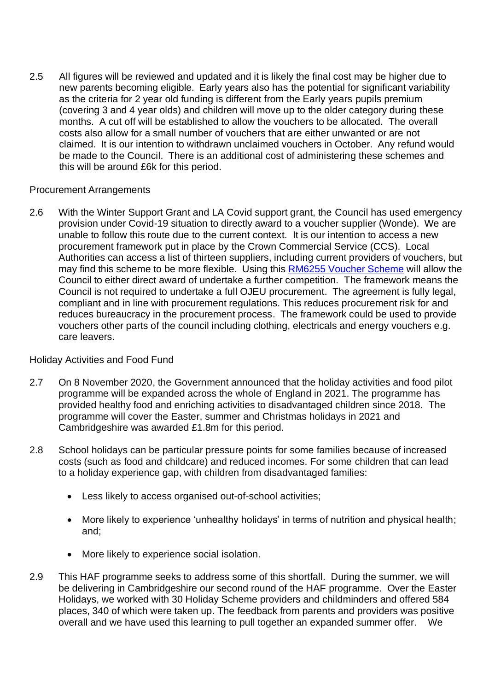2.5 All figures will be reviewed and updated and it is likely the final cost may be higher due to new parents becoming eligible. Early years also has the potential for significant variability as the criteria for 2 year old funding is different from the Early years pupils premium (covering 3 and 4 year olds) and children will move up to the older category during these months. A cut off will be established to allow the vouchers to be allocated. The overall costs also allow for a small number of vouchers that are either unwanted or are not claimed. It is our intention to withdrawn unclaimed vouchers in October. Any refund would be made to the Council. There is an additional cost of administering these schemes and this will be around £6k for this period.

#### Procurement Arrangements

2.6 With the Winter Support Grant and LA Covid support grant, the Council has used emergency provision under Covid-19 situation to directly award to a voucher supplier (Wonde). We are unable to follow this route due to the current context. It is our intention to access a new procurement framework put in place by the Crown Commercial Service (CCS). Local Authorities can access a list of thirteen suppliers, including current providers of vouchers, but may find this scheme to be more flexible. Using this [RM6255 Voucher Scheme](https://www.crowncommercial.gov.uk/agreements/RM6255) will allow the Council to either direct award of undertake a further competition. The framework means the Council is not required to undertake a full OJEU procurement. The agreement is fully legal, compliant and in line with procurement regulations. This reduces procurement risk for and reduces bureaucracy in the procurement process. The framework could be used to provide vouchers other parts of the council including clothing, electricals and energy vouchers e.g. care leavers.

#### Holiday Activities and Food Fund

- 2.7 On 8 November 2020, the Government announced that the holiday activities and food pilot programme will be expanded across the whole of England in 2021. The programme has provided healthy food and enriching activities to disadvantaged children since 2018. The programme will cover the Easter, summer and Christmas holidays in 2021 and Cambridgeshire was awarded £1.8m for this period.
- 2.8 School holidays can be particular pressure points for some families because of increased costs (such as food and childcare) and reduced incomes. For some children that can lead to a holiday experience gap, with children from disadvantaged families:
	- Less likely to access organised out-of-school activities;
	- More likely to experience 'unhealthy holidays' in terms of nutrition and physical health; and;
	- More likely to experience social isolation.
- 2.9 This HAF programme seeks to address some of this shortfall. During the summer, we will be delivering in Cambridgeshire our second round of the HAF programme. Over the Easter Holidays, we worked with 30 Holiday Scheme providers and childminders and offered 584 places, 340 of which were taken up. The feedback from parents and providers was positive overall and we have used this learning to pull together an expanded summer offer. We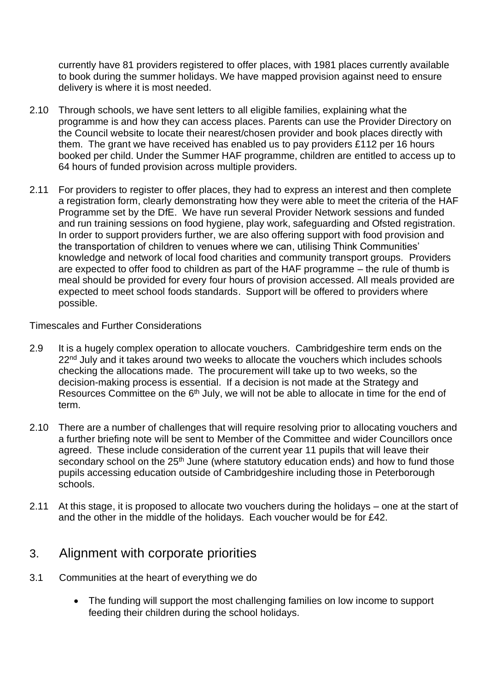currently have 81 providers registered to offer places, with 1981 places currently available to book during the summer holidays. We have mapped provision against need to ensure delivery is where it is most needed.

- 2.10 Through schools, we have sent letters to all eligible families, explaining what the programme is and how they can access places. Parents can use the Provider Directory on the Council website to locate their nearest/chosen provider and book places directly with them. The grant we have received has enabled us to pay providers £112 per 16 hours booked per child. Under the Summer HAF programme, children are entitled to access up to 64 hours of funded provision across multiple providers.
- 2.11 For providers to register to offer places, they had to express an interest and then complete a registration form, clearly demonstrating how they were able to meet the criteria of the HAF Programme set by the DfE. We have run several Provider Network sessions and funded and run training sessions on food hygiene, play work, safeguarding and Ofsted registration. In order to support providers further, we are also offering support with food provision and the transportation of children to venues where we can, utilising Think Communities' knowledge and network of local food charities and community transport groups. Providers are expected to offer food to children as part of the HAF programme – the rule of thumb is meal should be provided for every four hours of provision accessed. All meals provided are expected to meet school foods standards. Support will be offered to providers where possible.

Timescales and Further Considerations

- 2.9 It is a hugely complex operation to allocate vouchers. Cambridgeshire term ends on the 22<sup>nd</sup> July and it takes around two weeks to allocate the vouchers which includes schools checking the allocations made. The procurement will take up to two weeks, so the decision-making process is essential. If a decision is not made at the Strategy and Resources Committee on the 6<sup>th</sup> July, we will not be able to allocate in time for the end of term.
- 2.10 There are a number of challenges that will require resolving prior to allocating vouchers and a further briefing note will be sent to Member of the Committee and wider Councillors once agreed. These include consideration of the current year 11 pupils that will leave their secondary school on the 25<sup>th</sup> June (where statutory education ends) and how to fund those pupils accessing education outside of Cambridgeshire including those in Peterborough schools.
- 2.11 At this stage, it is proposed to allocate two vouchers during the holidays one at the start of and the other in the middle of the holidays. Each voucher would be for £42.

## 3. Alignment with corporate priorities

- 3.1 Communities at the heart of everything we do
	- The funding will support the most challenging families on low income to support feeding their children during the school holidays.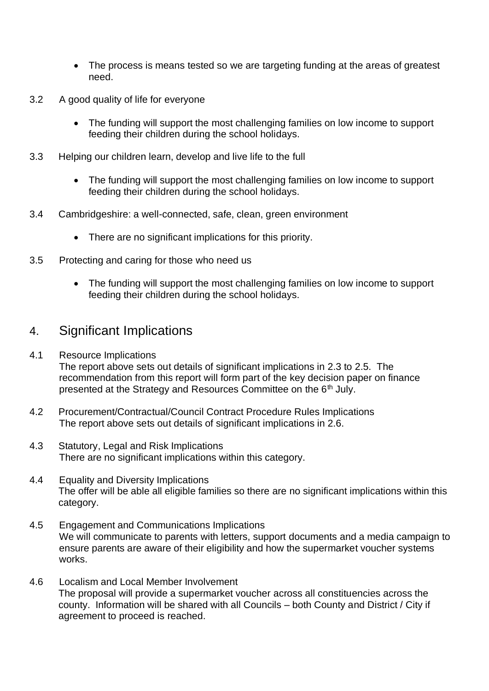- The process is means tested so we are targeting funding at the areas of greatest need.
- 3.2 A good quality of life for everyone
	- The funding will support the most challenging families on low income to support feeding their children during the school holidays.
- 3.3 Helping our children learn, develop and live life to the full
	- The funding will support the most challenging families on low income to support feeding their children during the school holidays.
- 3.4 Cambridgeshire: a well-connected, safe, clean, green environment
	- There are no significant implications for this priority.
- 3.5 Protecting and caring for those who need us
	- The funding will support the most challenging families on low income to support feeding their children during the school holidays.

### 4. Significant Implications

- 4.1 Resource Implications The report above sets out details of significant implications in 2.3 to 2.5. The recommendation from this report will form part of the key decision paper on finance presented at the Strategy and Resources Committee on the 6<sup>th</sup> July.
- 4.2 Procurement/Contractual/Council Contract Procedure Rules Implications The report above sets out details of significant implications in 2.6.
- 4.3 Statutory, Legal and Risk Implications There are no significant implications within this category.
- 4.4 Equality and Diversity Implications The offer will be able all eligible families so there are no significant implications within this category.
- 4.5 Engagement and Communications Implications We will communicate to parents with letters, support documents and a media campaign to ensure parents are aware of their eligibility and how the supermarket voucher systems works.
- 4.6 Localism and Local Member Involvement The proposal will provide a supermarket voucher across all constituencies across the county. Information will be shared with all Councils – both County and District / City if agreement to proceed is reached.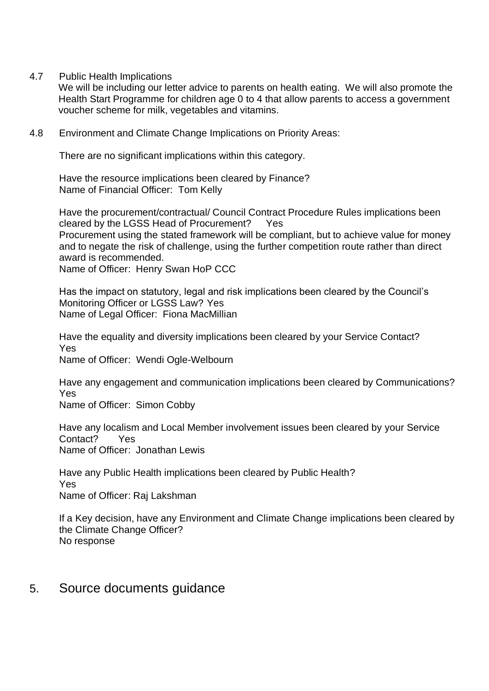4.7 Public Health Implications

We will be including our letter advice to parents on health eating. We will also promote the Health Start Programme for children age 0 to 4 that allow parents to access a government voucher scheme for milk, vegetables and vitamins.

4.8 Environment and Climate Change Implications on Priority Areas:

There are no significant implications within this category.

Have the resource implications been cleared by Finance? Name of Financial Officer: Tom Kelly

Have the procurement/contractual/ Council Contract Procedure Rules implications been cleared by the LGSS Head of Procurement? Yes Procurement using the stated framework will be compliant, but to achieve value for money and to negate the risk of challenge, using the further competition route rather than direct award is recommended. Name of Officer: Henry Swan HoP CCC

Has the impact on statutory, legal and risk implications been cleared by the Council's Monitoring Officer or LGSS Law? Yes Name of Legal Officer: Fiona MacMillian

Have the equality and diversity implications been cleared by your Service Contact? Yes

Name of Officer: Wendi Ogle-Welbourn

Have any engagement and communication implications been cleared by Communications? Yes

Name of Officer: Simon Cobby

Have any localism and Local Member involvement issues been cleared by your Service Contact? Yes Name of Officer: Jonathan Lewis

Have any Public Health implications been cleared by Public Health? Yes Name of Officer: Raj Lakshman

If a Key decision, have any Environment and Climate Change implications been cleared by the Climate Change Officer? No response

5. Source documents guidance